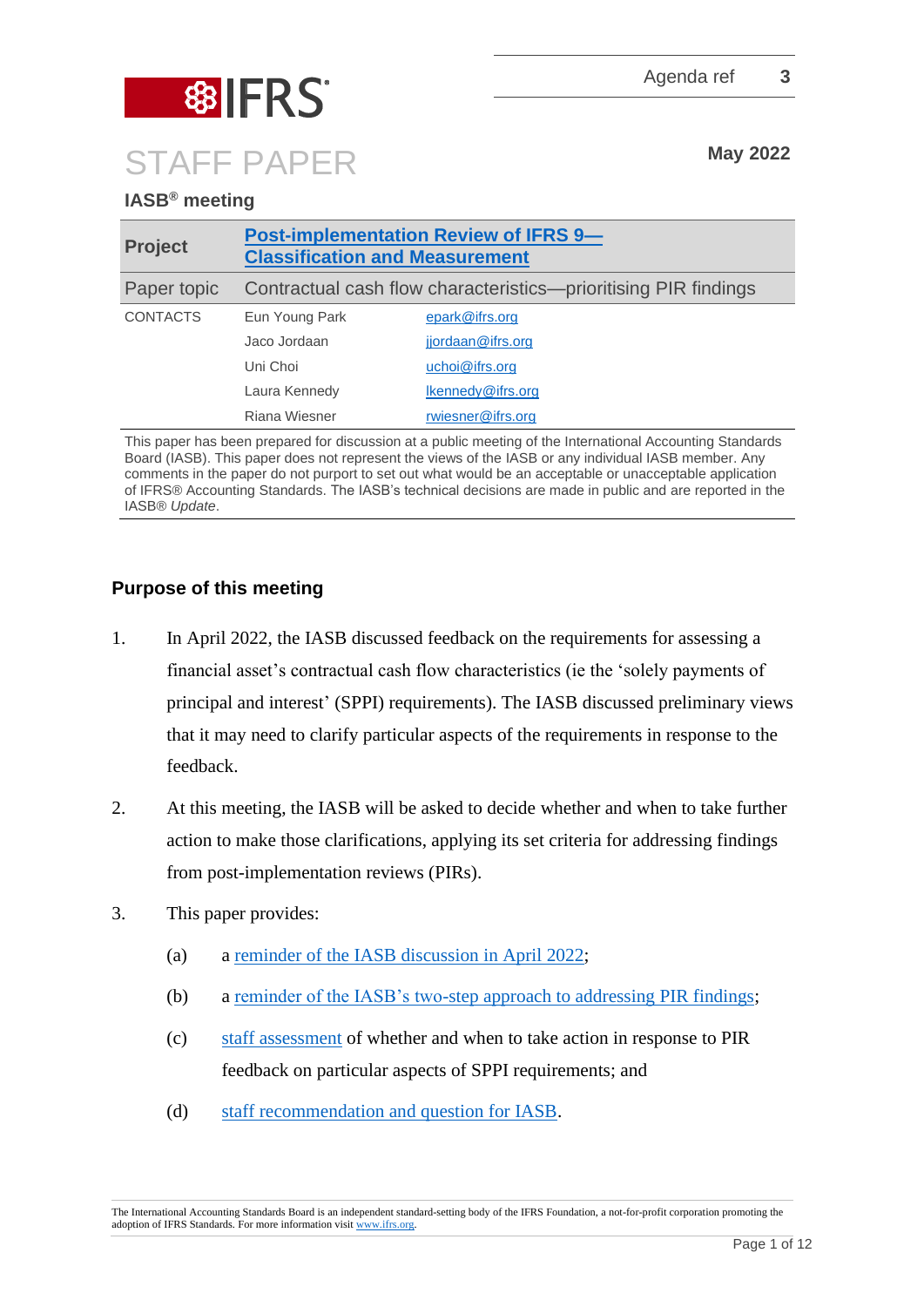

# **IASB® meeting**

| <b>Project</b>  | <b>Post-implementation Review of IFRS 9-</b><br><b>Classification and Measurement</b> |                   |
|-----------------|---------------------------------------------------------------------------------------|-------------------|
| Paper topic     | Contractual cash flow characteristics—prioritising PIR findings                       |                   |
| <b>CONTACTS</b> | Eun Young Park                                                                        | epark@ifrs.org    |
|                 | Jaco Jordaan                                                                          | jjordaan@ifrs.org |
|                 | Uni Choi                                                                              | uchoi@ifrs.org    |
|                 | Laura Kennedy                                                                         | Ikennedy@ifrs.org |
|                 | Riana Wiesner                                                                         | rwiesner@ifrs.org |

This paper has been prepared for discussion at a public meeting of the International Accounting Standards Board (IASB). This paper does not represent the views of the IASB or any individual IASB member. Any comments in the paper do not purport to set out what would be an acceptable or unacceptable application of IFRS® Accounting Standards. The IASB's technical decisions are made in public and are reported in the IASB® *Update*.

## **Purpose of this meeting**

- 1. In April 2022, the IASB discussed feedback on the requirements for assessing a financial asset's contractual cash flow characteristics (ie the 'solely payments of principal and interest' (SPPI) requirements). The IASB discussed preliminary views that it may need to clarify particular aspects of the requirements in response to the feedback.
- 2. At this meeting, the IASB will be asked to decide whether and when to take further action to make those clarifications, applying its set criteria for addressing findings from post-implementation reviews (PIRs).
- 3. This paper provides:
	- (a) a reminder of the IASB discussion in April 2022;
	- (b) a [reminder of the IASB's two-step approach to addressing PIR findings;](#page-1-0)
	- (c) [staff assessment](#page-2-0) of whether and when to take action in response to PIR feedback on particular aspects of SPPI requirements; and
	- (d) [staff recommendation and question for IASB.](#page-10-0)

The International Accounting Standards Board is an independent standard-setting body of the IFRS Foundation, a not-for-profit corporation promoting the adoption of IFRS Standards. For more information visit [www.ifrs.org.](http://www.ifrs.org/)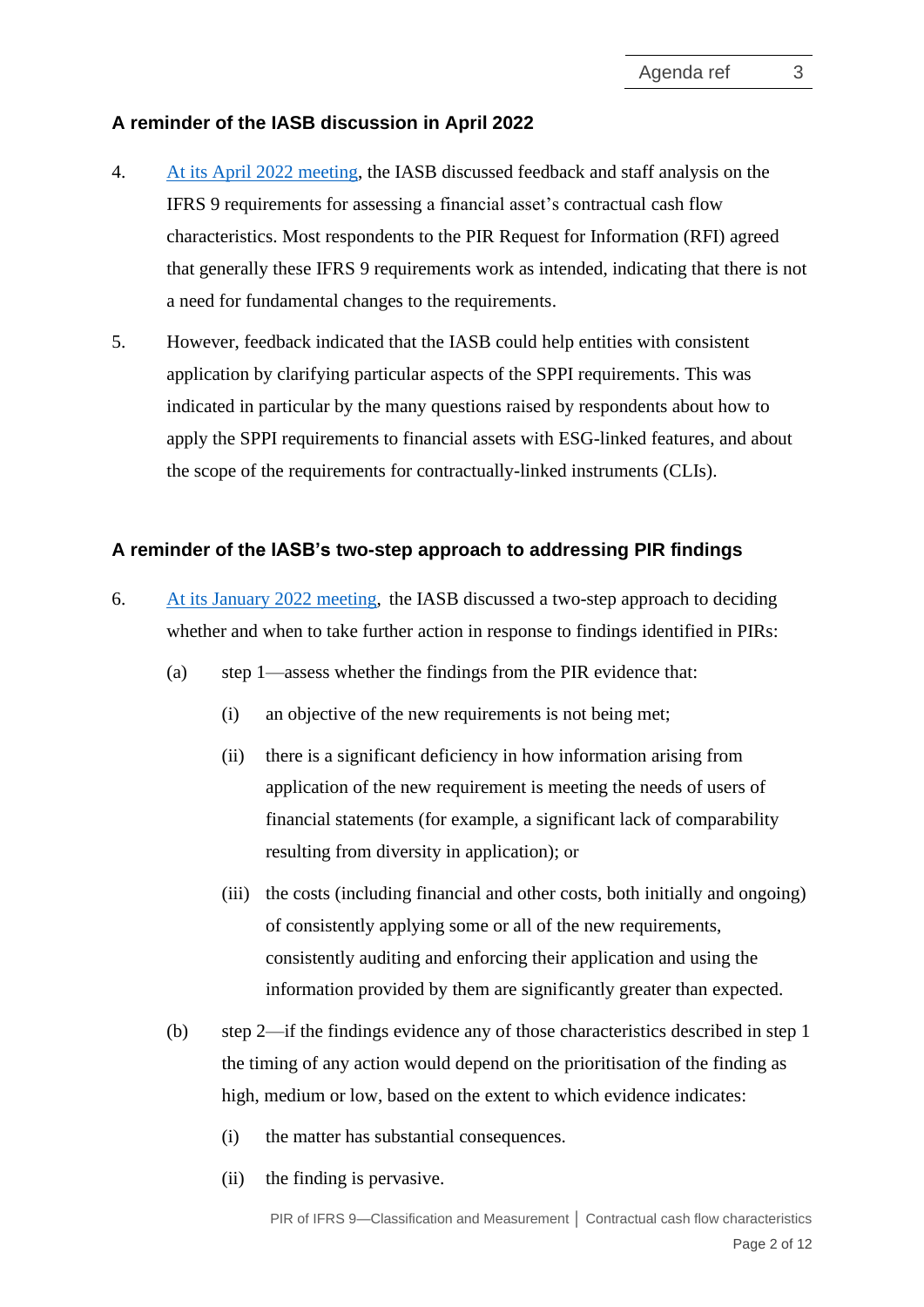#### **A reminder of the IASB discussion in April 2022**

- 4. [At its April 2022 meeting,](https://www.ifrs.org/news-and-events/calendar/2022/april/international-accounting-standards-board/) the IASB discussed feedback and staff analysis on the IFRS 9 requirements for assessing a financial asset's contractual cash flow characteristics. Most respondents to the PIR Request for Information (RFI) agreed that generally these IFRS 9 requirements work as intended, indicating that there is not a need for fundamental changes to the requirements.
- 5. However, feedback indicated that the IASB could help entities with consistent application by clarifying particular aspects of the SPPI requirements. This was indicated in particular by the many questions raised by respondents about how to apply the SPPI requirements to financial assets with ESG-linked features, and about the scope of the requirements for contractually-linked instruments (CLIs).

#### <span id="page-1-0"></span>**A reminder of the IASB's two-step approach to addressing PIR findings**

- 6. At its [January 2022](https://www.ifrs.org/content/dam/ifrs/meetings/2022/january/iasb/ap8a-pir-outcome-prioritisation.pdf) meeting, the IASB discussed a two-step approach to deciding whether and when to take further action in response to findings identified in PIRs:
	- (a) step 1—assess whether the findings from the PIR evidence that:
		- (i) an objective of the new requirements is not being met;
		- (ii) there is a significant deficiency in how information arising from application of the new requirement is meeting the needs of users of financial statements (for example, a significant lack of comparability resulting from diversity in application); or
		- (iii) the costs (including financial and other costs, both initially and ongoing) of consistently applying some or all of the new requirements, consistently auditing and enforcing their application and using the information provided by them are significantly greater than expected.
	- (b) step 2—if the findings evidence any of those characteristics described in step 1 the timing of any action would depend on the prioritisation of the finding as high, medium or low, based on the extent to which evidence indicates:
		- (i) the matter has substantial consequences.
		- (ii) the finding is pervasive.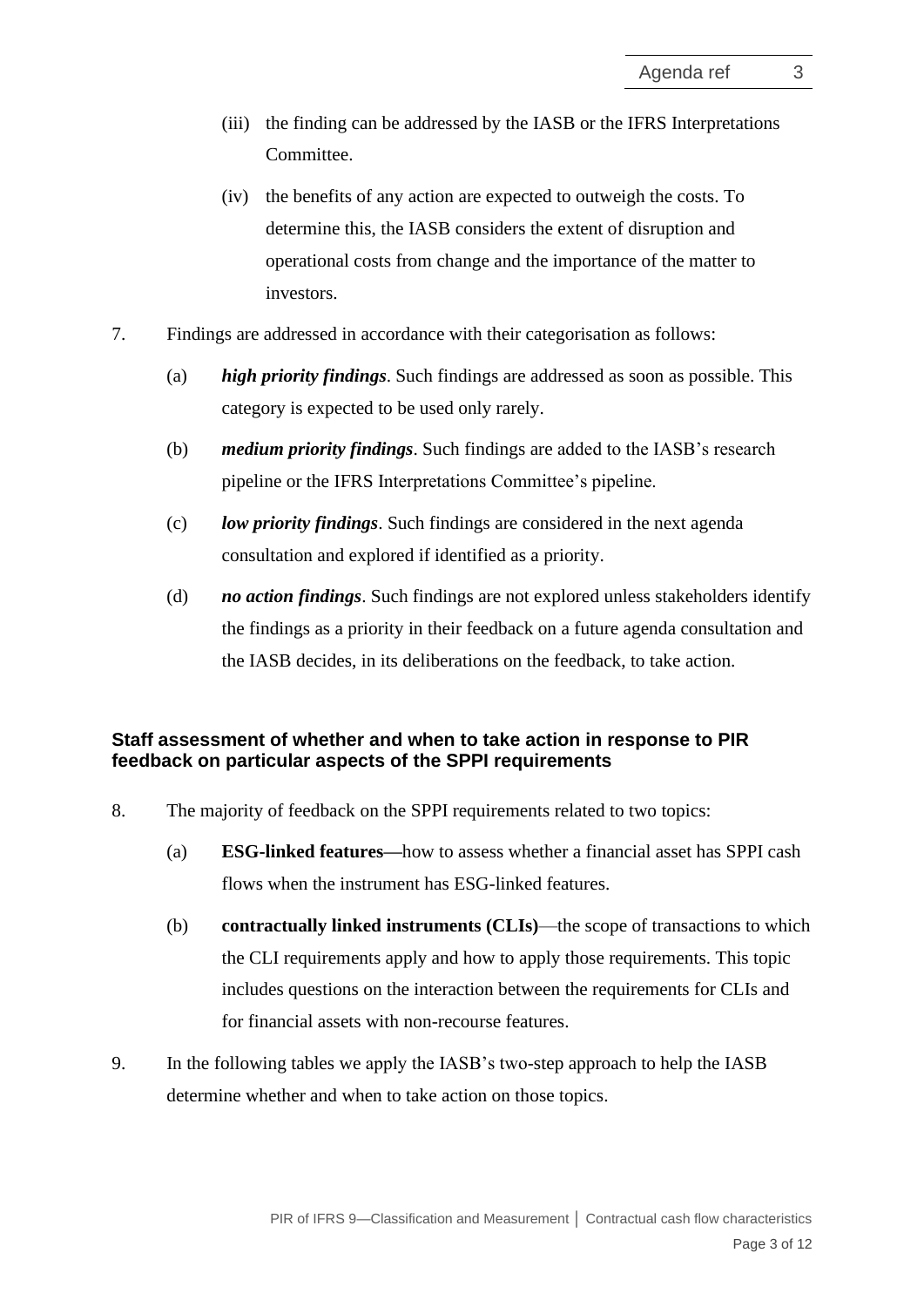- (iii) the finding can be addressed by the IASB or the IFRS Interpretations Committee.
- (iv) the benefits of any action are expected to outweigh the costs. To determine this, the IASB considers the extent of disruption and operational costs from change and the importance of the matter to investors.
- 7. Findings are addressed in accordance with their categorisation as follows:
	- (a) *high priority findings*. Such findings are addressed as soon as possible. This category is expected to be used only rarely.
	- (b) *medium priority findings*. Such findings are added to the IASB's research pipeline or the IFRS Interpretations Committee's pipeline.
	- (c) *low priority findings*. Such findings are considered in the next agenda consultation and explored if identified as a priority.
	- (d) *no action findings*. Such findings are not explored unless stakeholders identify the findings as a priority in their feedback on a future agenda consultation and the IASB decides, in its deliberations on the feedback, to take action.

### <span id="page-2-0"></span>**Staff assessment of whether and when to take action in response to PIR feedback on particular aspects of the SPPI requirements**

- 8. The majority of feedback on the SPPI requirements related to two topics:
	- (a) **ESG-linked features—**how to assess whether a financial asset has SPPI cash flows when the instrument has ESG-linked features.
	- (b) **contractually linked instruments (CLIs)**—the scope of transactions to which the CLI requirements apply and how to apply those requirements. This topic includes questions on the interaction between the requirements for CLIs and for financial assets with non-recourse features.
- 9. In the following tables we apply the IASB's two-step approach to help the IASB determine whether and when to take action on those topics.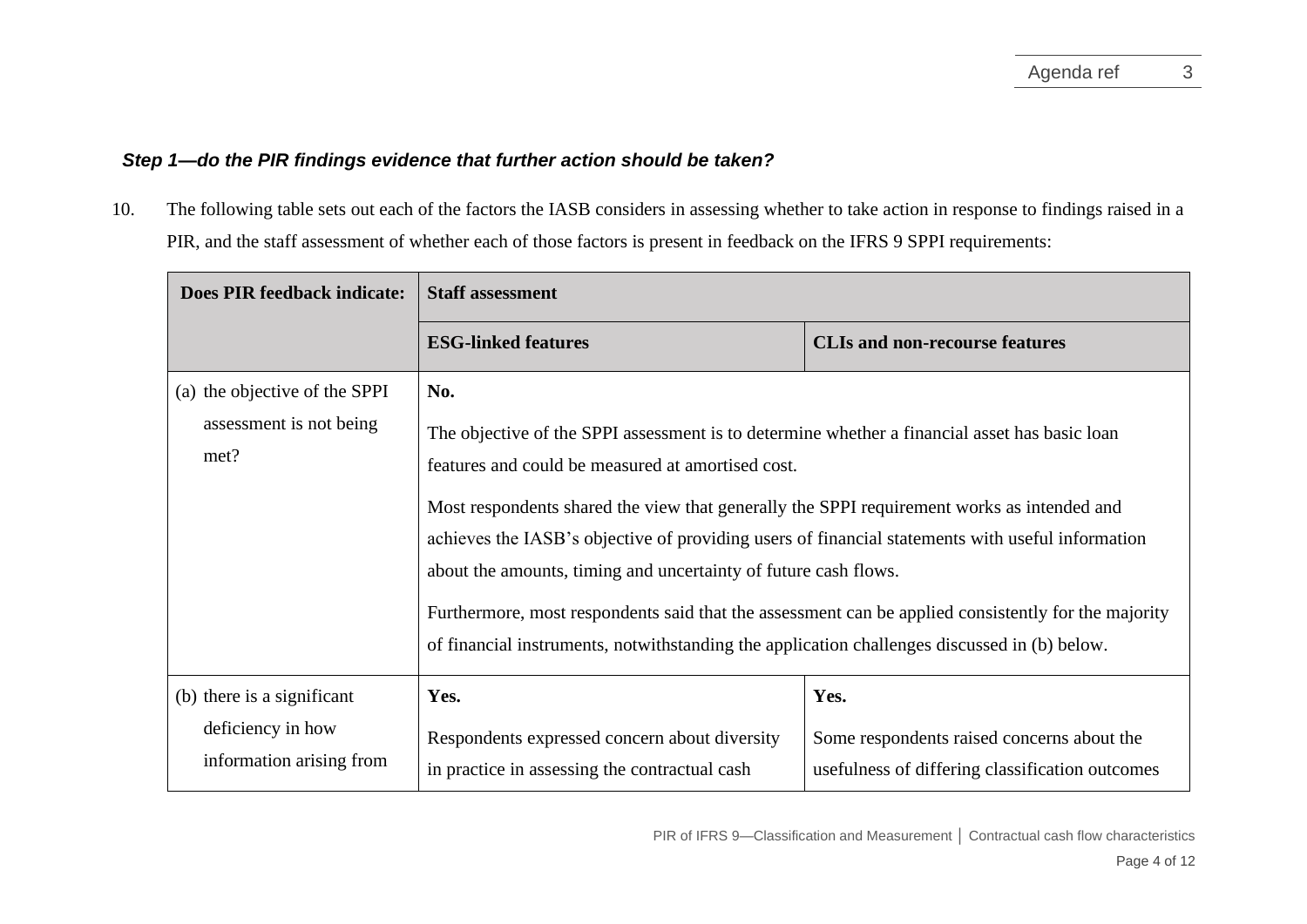### *Step 1—do the PIR findings evidence that further action should be taken?*

10. The following table sets out each of the factors the IASB considers in assessing whether to take action in response to findings raised in a PIR, and the staff assessment of whether each of those factors is present in feedback on the IFRS 9 SPPI requirements:

| <b>Does PIR feedback indicate:</b>                                          | <b>Staff assessment</b>                                                                                                                                                                                                                                                                                                                                                                                                                                                                                                                                                                                                               |                                                                                                       |  |
|-----------------------------------------------------------------------------|---------------------------------------------------------------------------------------------------------------------------------------------------------------------------------------------------------------------------------------------------------------------------------------------------------------------------------------------------------------------------------------------------------------------------------------------------------------------------------------------------------------------------------------------------------------------------------------------------------------------------------------|-------------------------------------------------------------------------------------------------------|--|
|                                                                             | <b>ESG-linked features</b>                                                                                                                                                                                                                                                                                                                                                                                                                                                                                                                                                                                                            | <b>CLIs and non-recourse features</b>                                                                 |  |
| (a) the objective of the SPPI<br>assessment is not being<br>met?            | No.<br>The objective of the SPPI assessment is to determine whether a financial asset has basic loan<br>features and could be measured at amortised cost.<br>Most respondents shared the view that generally the SPPI requirement works as intended and<br>achieves the IASB's objective of providing users of financial statements with useful information<br>about the amounts, timing and uncertainty of future cash flows.<br>Furthermore, most respondents said that the assessment can be applied consistently for the majority<br>of financial instruments, notwithstanding the application challenges discussed in (b) below. |                                                                                                       |  |
| (b) there is a significant<br>deficiency in how<br>information arising from | Yes.<br>Respondents expressed concern about diversity<br>in practice in assessing the contractual cash                                                                                                                                                                                                                                                                                                                                                                                                                                                                                                                                | Yes.<br>Some respondents raised concerns about the<br>usefulness of differing classification outcomes |  |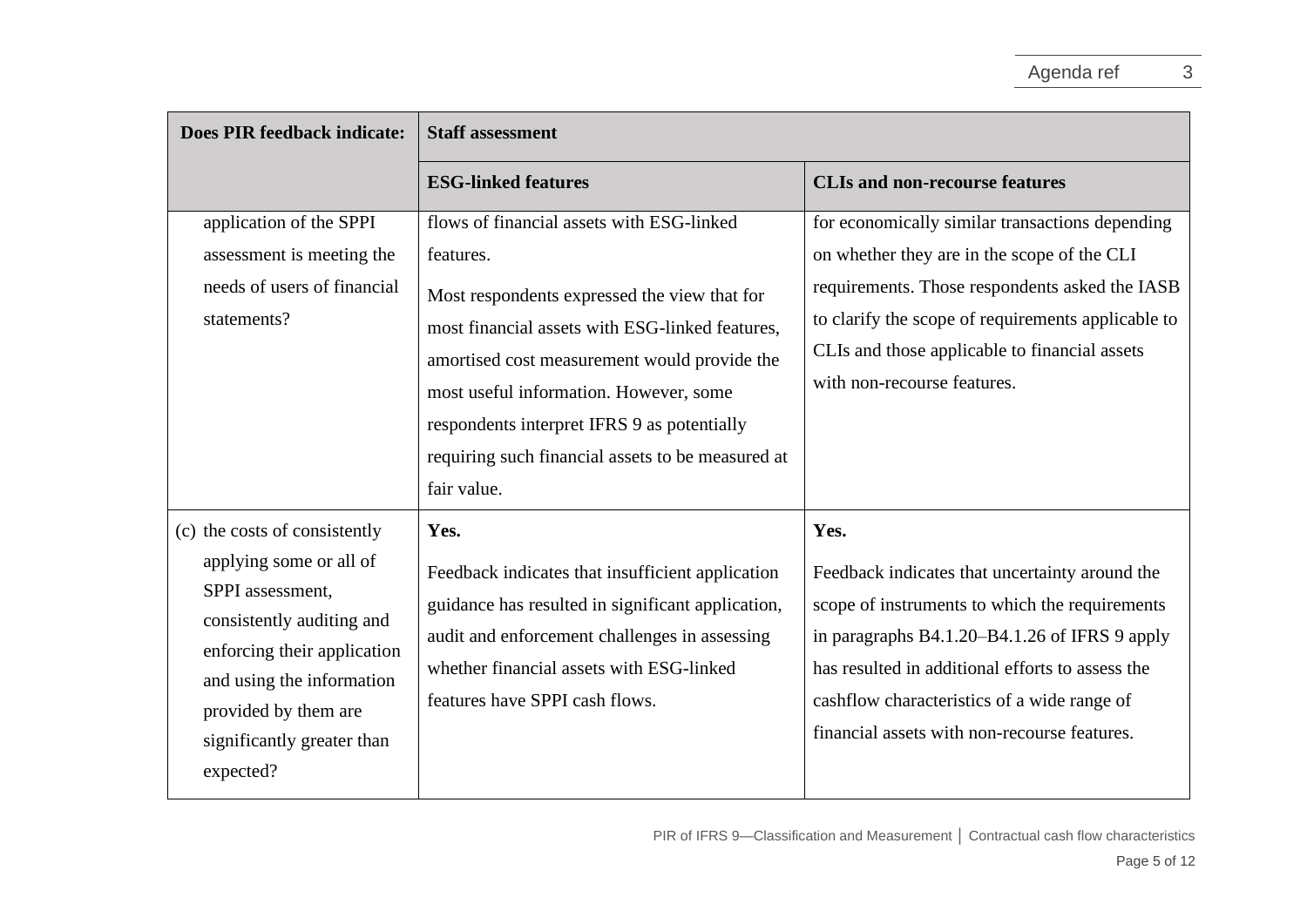| <b>Does PIR feedback indicate:</b>                                                                                                                                                                                                       | <b>Staff assessment</b>                                                                                                                                                                                                                                                                                                                                                |                                                                                                                                                                                                                                                                                                              |
|------------------------------------------------------------------------------------------------------------------------------------------------------------------------------------------------------------------------------------------|------------------------------------------------------------------------------------------------------------------------------------------------------------------------------------------------------------------------------------------------------------------------------------------------------------------------------------------------------------------------|--------------------------------------------------------------------------------------------------------------------------------------------------------------------------------------------------------------------------------------------------------------------------------------------------------------|
|                                                                                                                                                                                                                                          | <b>ESG-linked features</b>                                                                                                                                                                                                                                                                                                                                             | <b>CLIs and non-recourse features</b>                                                                                                                                                                                                                                                                        |
| application of the SPPI<br>assessment is meeting the<br>needs of users of financial<br>statements?                                                                                                                                       | flows of financial assets with ESG-linked<br>features.<br>Most respondents expressed the view that for<br>most financial assets with ESG-linked features,<br>amortised cost measurement would provide the<br>most useful information. However, some<br>respondents interpret IFRS 9 as potentially<br>requiring such financial assets to be measured at<br>fair value. | for economically similar transactions depending<br>on whether they are in the scope of the CLI<br>requirements. Those respondents asked the IASB<br>to clarify the scope of requirements applicable to<br>CLIs and those applicable to financial assets<br>with non-recourse features.                       |
| (c) the costs of consistently<br>applying some or all of<br>SPPI assessment,<br>consistently auditing and<br>enforcing their application<br>and using the information<br>provided by them are<br>significantly greater than<br>expected? | Yes.<br>Feedback indicates that insufficient application<br>guidance has resulted in significant application,<br>audit and enforcement challenges in assessing<br>whether financial assets with ESG-linked<br>features have SPPI cash flows.                                                                                                                           | Yes.<br>Feedback indicates that uncertainty around the<br>scope of instruments to which the requirements<br>in paragraphs B4.1.20-B4.1.26 of IFRS 9 apply<br>has resulted in additional efforts to assess the<br>cashflow characteristics of a wide range of<br>financial assets with non-recourse features. |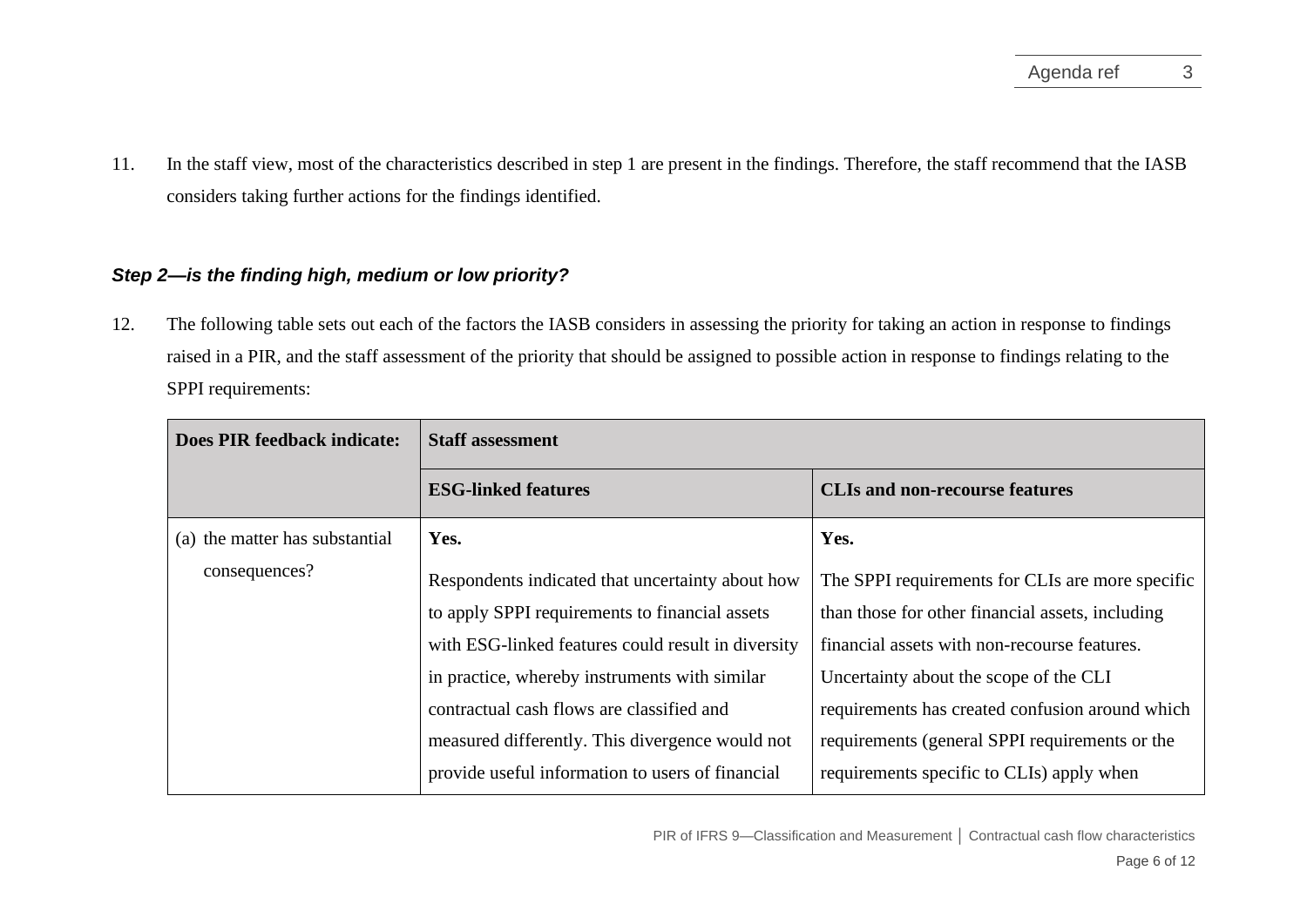11. In the staff view, most of the characteristics described in step 1 are present in the findings. Therefore, the staff recommend that the IASB considers taking further actions for the findings identified.

### *Step 2—is the finding high, medium or low priority?*

12. The following table sets out each of the factors the IASB considers in assessing the priority for taking an action in response to findings raised in a PIR, and the staff assessment of the priority that should be assigned to possible action in response to findings relating to the SPPI requirements:

| Does PIR feedback indicate:    | <b>Staff assessment</b>                            |                                                  |
|--------------------------------|----------------------------------------------------|--------------------------------------------------|
|                                | <b>ESG-linked features</b>                         | <b>CLIs and non-recourse features</b>            |
| (a) the matter has substantial | Yes.                                               | Yes.                                             |
| consequences?                  | Respondents indicated that uncertainty about how   | The SPPI requirements for CLIs are more specific |
|                                | to apply SPPI requirements to financial assets     | than those for other financial assets, including |
|                                | with ESG-linked features could result in diversity | financial assets with non-recourse features.     |
|                                | in practice, whereby instruments with similar      | Uncertainty about the scope of the CLI           |
|                                | contractual cash flows are classified and          | requirements has created confusion around which  |
|                                | measured differently. This divergence would not    | requirements (general SPPI requirements or the   |
|                                | provide useful information to users of financial   | requirements specific to CLIs) apply when        |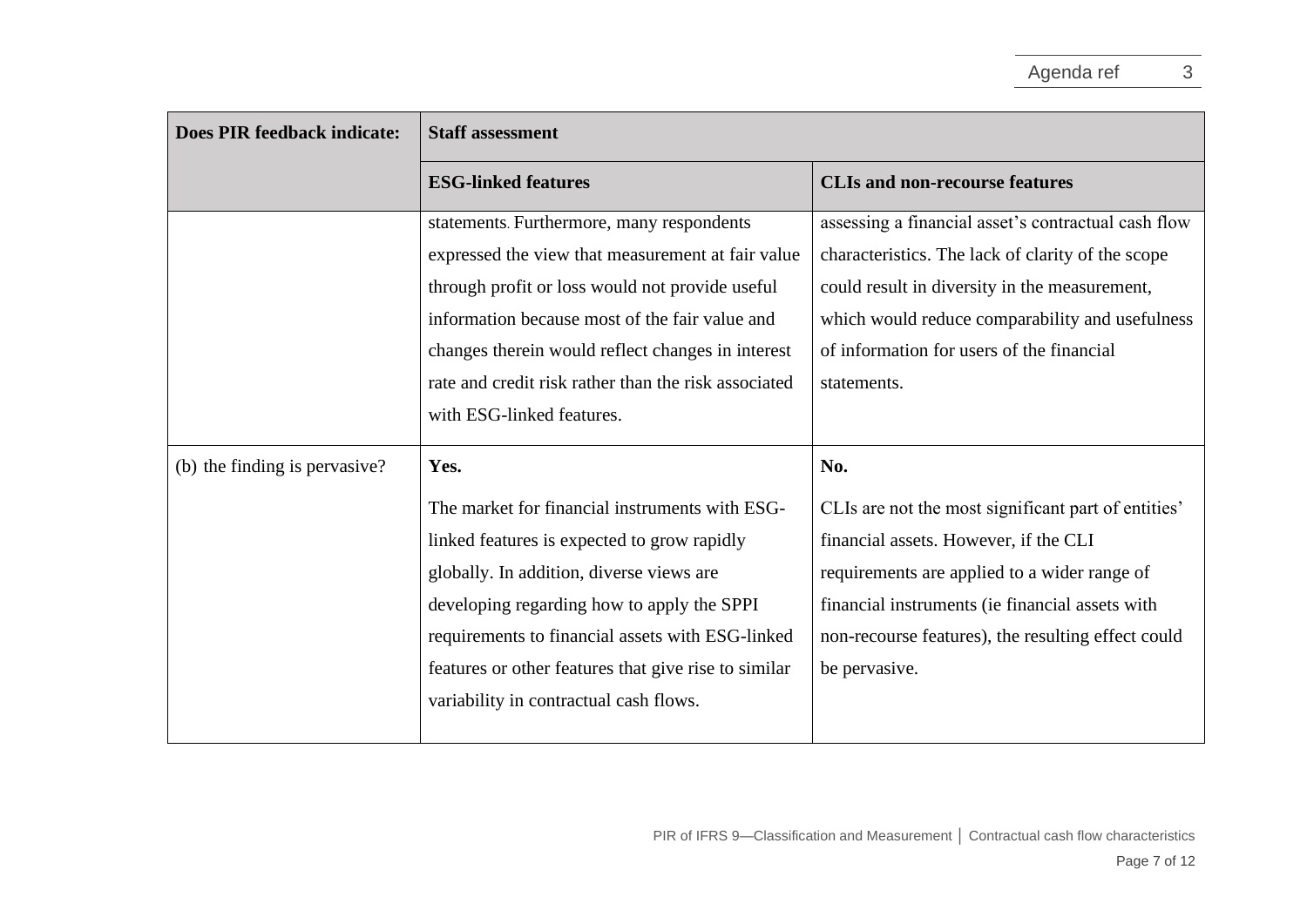| <b>Does PIR feedback indicate:</b> | <b>Staff assessment</b>                              |                                                     |  |
|------------------------------------|------------------------------------------------------|-----------------------------------------------------|--|
|                                    | <b>ESG-linked features</b>                           | <b>CLIs and non-recourse features</b>               |  |
|                                    | statements. Furthermore, many respondents            | assessing a financial asset's contractual cash flow |  |
|                                    | expressed the view that measurement at fair value    | characteristics. The lack of clarity of the scope   |  |
|                                    | through profit or loss would not provide useful      | could result in diversity in the measurement,       |  |
|                                    | information because most of the fair value and       | which would reduce comparability and usefulness     |  |
|                                    | changes therein would reflect changes in interest    | of information for users of the financial           |  |
|                                    | rate and credit risk rather than the risk associated | statements.                                         |  |
|                                    | with ESG-linked features.                            |                                                     |  |
| (b) the finding is pervasive?      | Yes.                                                 | No.                                                 |  |
|                                    | The market for financial instruments with ESG-       | CLIs are not the most significant part of entities' |  |
|                                    | linked features is expected to grow rapidly          | financial assets. However, if the CLI               |  |
|                                    | globally. In addition, diverse views are             | requirements are applied to a wider range of        |  |
|                                    | developing regarding how to apply the SPPI           | financial instruments (ie financial assets with     |  |
|                                    | requirements to financial assets with ESG-linked     | non-recourse features), the resulting effect could  |  |
|                                    | features or other features that give rise to similar | be pervasive.                                       |  |
|                                    | variability in contractual cash flows.               |                                                     |  |
|                                    |                                                      |                                                     |  |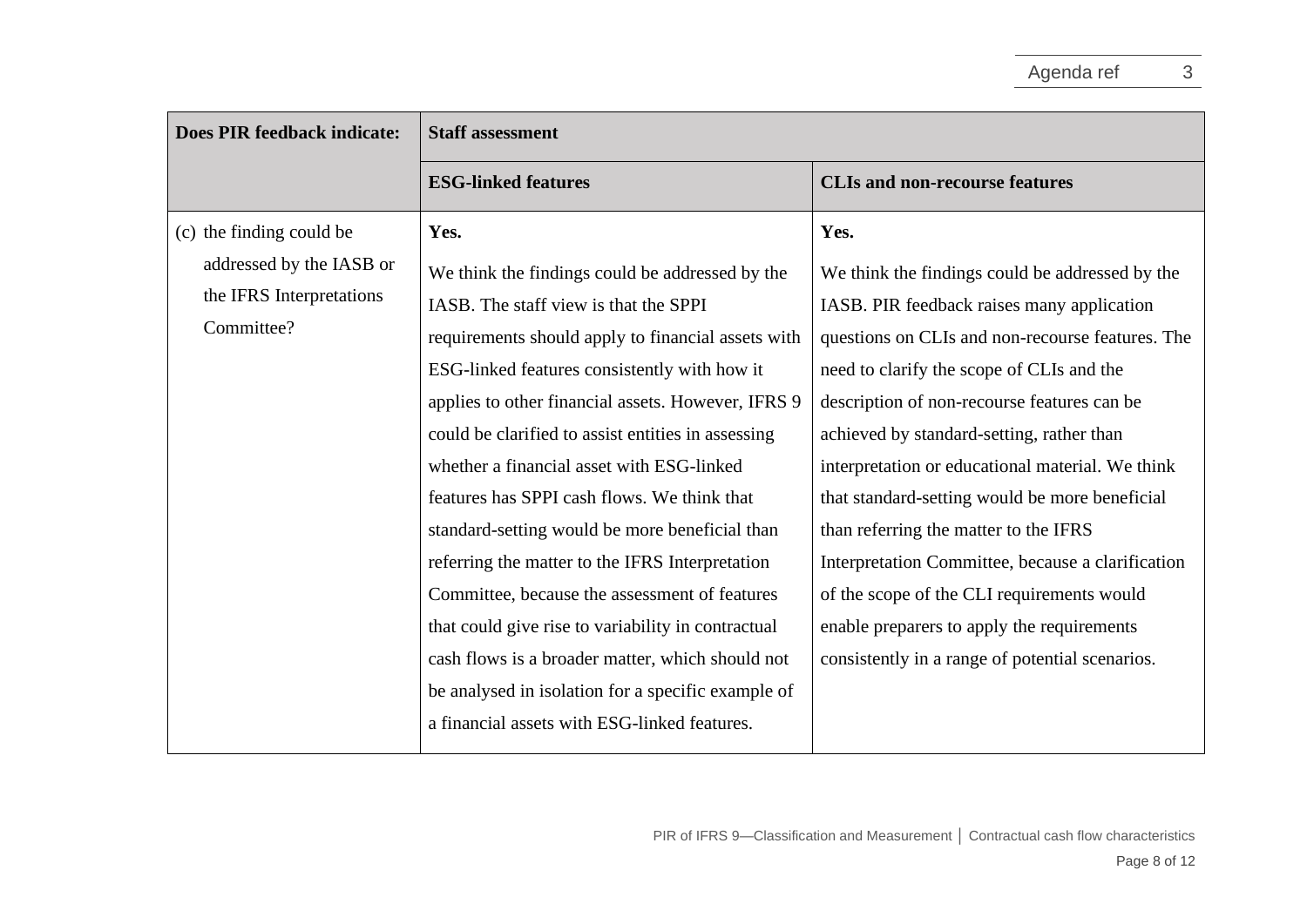| <b>Does PIR feedback indicate:</b>                                                             | <b>Staff assessment</b>                                                                                                                                                                                                                                                                                                                                                                                                                                                                                                                                                                                                                                                                                                              |                                                                                                                                                                                                                                                                                                                                                                                                                                                                                                                                                                                                                                                       |  |
|------------------------------------------------------------------------------------------------|--------------------------------------------------------------------------------------------------------------------------------------------------------------------------------------------------------------------------------------------------------------------------------------------------------------------------------------------------------------------------------------------------------------------------------------------------------------------------------------------------------------------------------------------------------------------------------------------------------------------------------------------------------------------------------------------------------------------------------------|-------------------------------------------------------------------------------------------------------------------------------------------------------------------------------------------------------------------------------------------------------------------------------------------------------------------------------------------------------------------------------------------------------------------------------------------------------------------------------------------------------------------------------------------------------------------------------------------------------------------------------------------------------|--|
|                                                                                                | <b>ESG-linked features</b>                                                                                                                                                                                                                                                                                                                                                                                                                                                                                                                                                                                                                                                                                                           | <b>CLIs and non-recourse features</b>                                                                                                                                                                                                                                                                                                                                                                                                                                                                                                                                                                                                                 |  |
| (c) the finding could be<br>addressed by the IASB or<br>the IFRS Interpretations<br>Committee? | Yes.<br>We think the findings could be addressed by the<br>IASB. The staff view is that the SPPI<br>requirements should apply to financial assets with<br>ESG-linked features consistently with how it<br>applies to other financial assets. However, IFRS 9<br>could be clarified to assist entities in assessing<br>whether a financial asset with ESG-linked<br>features has SPPI cash flows. We think that<br>standard-setting would be more beneficial than<br>referring the matter to the IFRS Interpretation<br>Committee, because the assessment of features<br>that could give rise to variability in contractual<br>cash flows is a broader matter, which should not<br>be analysed in isolation for a specific example of | Yes.<br>We think the findings could be addressed by the<br>IASB. PIR feedback raises many application<br>questions on CLIs and non-recourse features. The<br>need to clarify the scope of CLIs and the<br>description of non-recourse features can be<br>achieved by standard-setting, rather than<br>interpretation or educational material. We think<br>that standard-setting would be more beneficial<br>than referring the matter to the IFRS<br>Interpretation Committee, because a clarification<br>of the scope of the CLI requirements would<br>enable preparers to apply the requirements<br>consistently in a range of potential scenarios. |  |
|                                                                                                | a financial assets with ESG-linked features.                                                                                                                                                                                                                                                                                                                                                                                                                                                                                                                                                                                                                                                                                         |                                                                                                                                                                                                                                                                                                                                                                                                                                                                                                                                                                                                                                                       |  |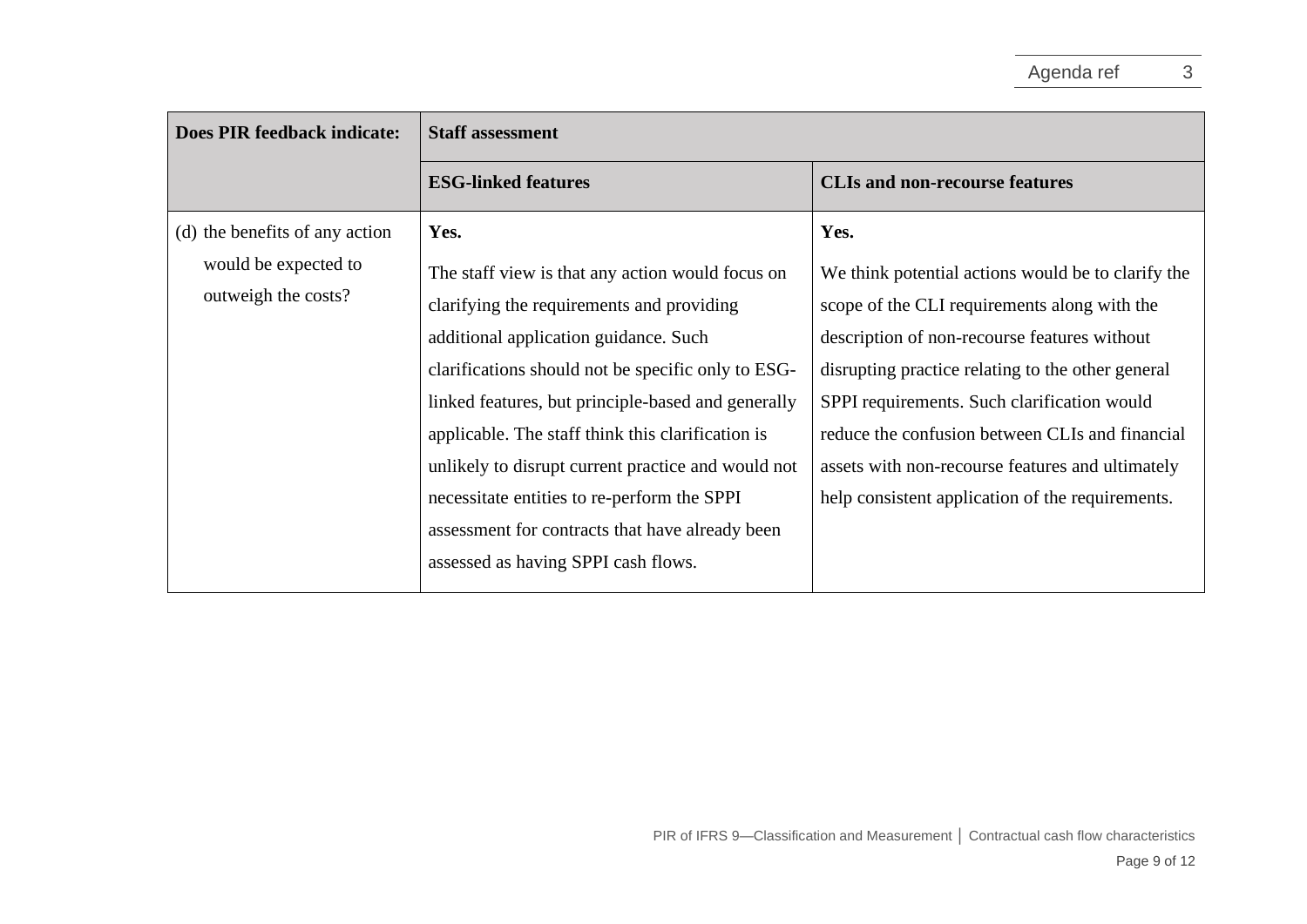| Does PIR feedback indicate:                 | <b>Staff assessment</b>                            |                                                    |
|---------------------------------------------|----------------------------------------------------|----------------------------------------------------|
|                                             | <b>ESG-linked features</b>                         | <b>CLIs and non-recourse features</b>              |
| (d) the benefits of any action              | Yes.                                               | Yes.                                               |
| would be expected to<br>outweigh the costs? | The staff view is that any action would focus on   | We think potential actions would be to clarify the |
|                                             | clarifying the requirements and providing          | scope of the CLI requirements along with the       |
|                                             | additional application guidance. Such              | description of non-recourse features without       |
|                                             | clarifications should not be specific only to ESG- | disrupting practice relating to the other general  |
|                                             | linked features, but principle-based and generally | SPPI requirements. Such clarification would        |
|                                             | applicable. The staff think this clarification is  | reduce the confusion between CLIs and financial    |
|                                             | unlikely to disrupt current practice and would not | assets with non-recourse features and ultimately   |
|                                             | necessitate entities to re-perform the SPPI        | help consistent application of the requirements.   |
|                                             | assessment for contracts that have already been    |                                                    |
|                                             | assessed as having SPPI cash flows.                |                                                    |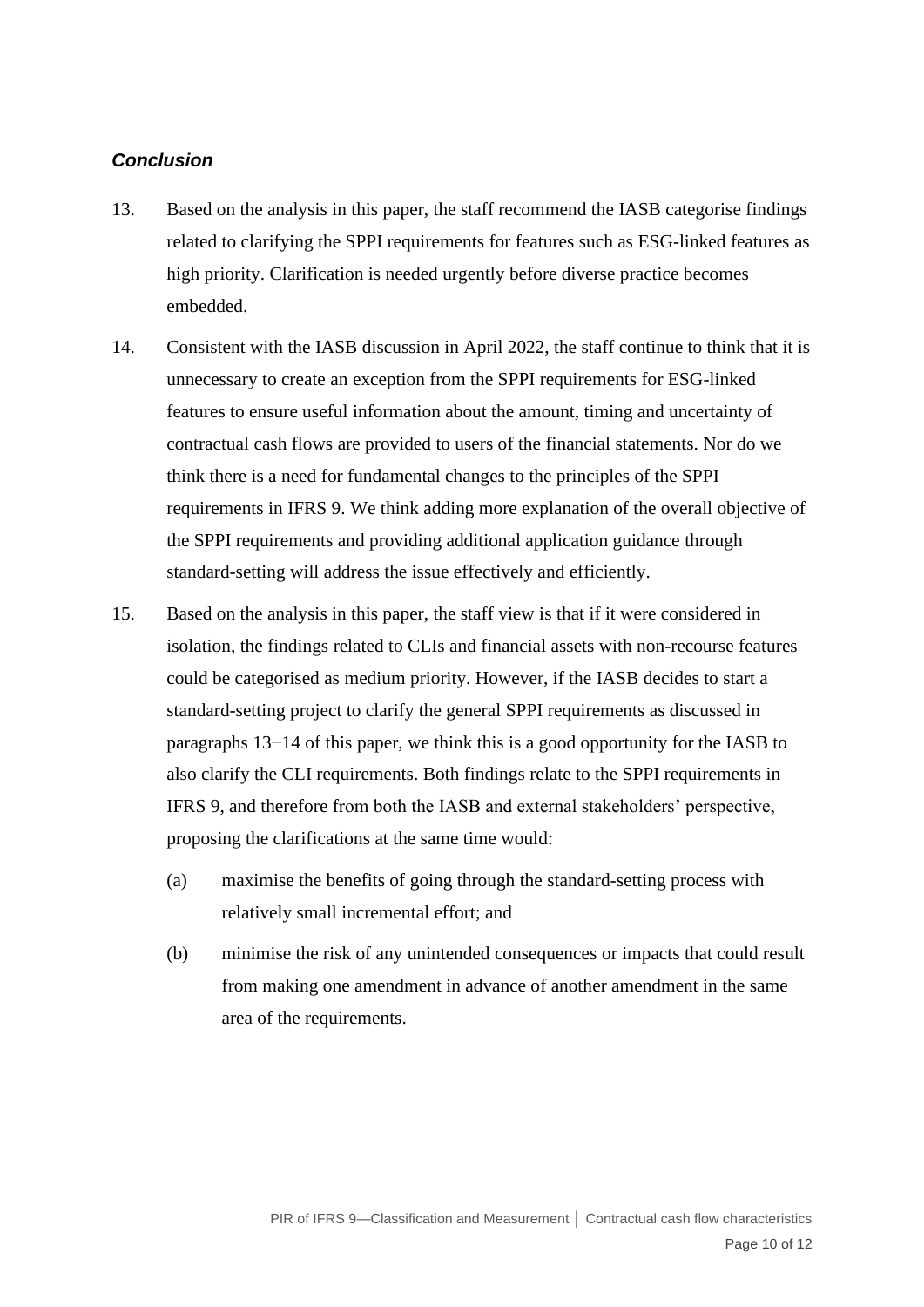### *Conclusion*

- <span id="page-9-0"></span>13. Based on the analysis in this paper, the staff recommend the IASB categorise findings related to clarifying the SPPI requirements for features such as ESG-linked features as high priority. Clarification is needed urgently before diverse practice becomes embedded.
- <span id="page-9-1"></span>14. Consistent with the IASB discussion in April 2022, the staff continue to think that it is unnecessary to create an exception from the SPPI requirements for ESG-linked features to ensure useful information about the amount, timing and uncertainty of contractual cash flows are provided to users of the financial statements. Nor do we think there is a need for fundamental changes to the principles of the SPPI requirements in IFRS 9. We think adding more explanation of the overall objective of the SPPI requirements and providing additional application guidance through standard-setting will address the issue effectively and efficiently.
- 15. Based on the analysis in this paper, the staff view is that if it were considered in isolation, the findings related to CLIs and financial assets with non-recourse features could be categorised as medium priority. However, if the IASB decides to start a standard-setting project to clarify the general SPPI requirements as discussed in paragraphs [13−](#page-9-0)[14](#page-9-1) of this paper, we think this is a good opportunity for the IASB to also clarify the CLI requirements. Both findings relate to the SPPI requirements in IFRS 9, and therefore from both the IASB and external stakeholders' perspective, proposing the clarifications at the same time would:
	- (a) maximise the benefits of going through the standard-setting process with relatively small incremental effort; and
	- (b) minimise the risk of any unintended consequences or impacts that could result from making one amendment in advance of another amendment in the same area of the requirements.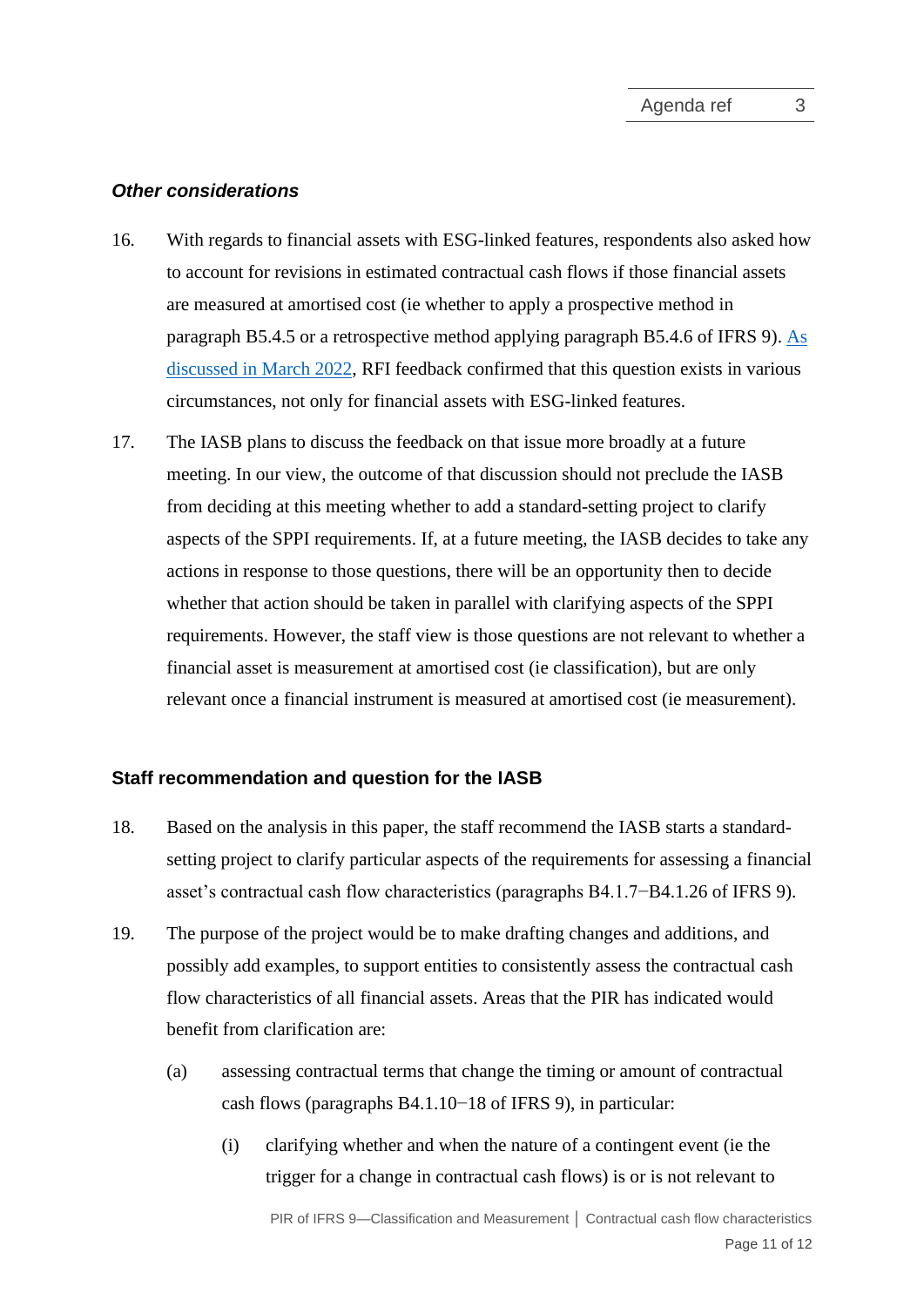#### *Other considerations*

- 16. With regards to financial assets with ESG-linked features, respondents also asked how to account for revisions in estimated contractual cash flows if those financial assets are measured at amortised cost (ie whether to apply a prospective method in paragraph B5.4.5 or a retrospective method applying paragraph B5.4.6 of IFRS 9). [As](https://www.ifrs.org/content/dam/ifrs/meetings/2022/march/iasb/ap3a-ifrs-9-feedback-summary.pdf)  [discussed in March 2022,](https://www.ifrs.org/content/dam/ifrs/meetings/2022/march/iasb/ap3a-ifrs-9-feedback-summary.pdf) RFI feedback confirmed that this question exists in various circumstances, not only for financial assets with ESG-linked features.
- 17. The IASB plans to discuss the feedback on that issue more broadly at a future meeting. In our view, the outcome of that discussion should not preclude the IASB from deciding at this meeting whether to add a standard-setting project to clarify aspects of the SPPI requirements. If, at a future meeting, the IASB decides to take any actions in response to those questions, there will be an opportunity then to decide whether that action should be taken in parallel with clarifying aspects of the SPPI requirements. However, the staff view is those questions are not relevant to whether a financial asset is measurement at amortised cost (ie classification), but are only relevant once a financial instrument is measured at amortised cost (ie measurement).

#### <span id="page-10-0"></span>**Staff recommendation and question for the IASB**

- 18. Based on the analysis in this paper, the staff recommend the IASB starts a standardsetting project to clarify particular aspects of the requirements for assessing a financial asset's contractual cash flow characteristics (paragraphs B4.1.7−B4.1.26 of IFRS 9).
- 19. The purpose of the project would be to make drafting changes and additions, and possibly add examples, to support entities to consistently assess the contractual cash flow characteristics of all financial assets. Areas that the PIR has indicated would benefit from clarification are:
	- (a) assessing contractual terms that change the timing or amount of contractual cash flows (paragraphs B4.1.10−18 of IFRS 9), in particular:
		- (i) clarifying whether and when the nature of a contingent event (ie the trigger for a change in contractual cash flows) is or is not relevant to